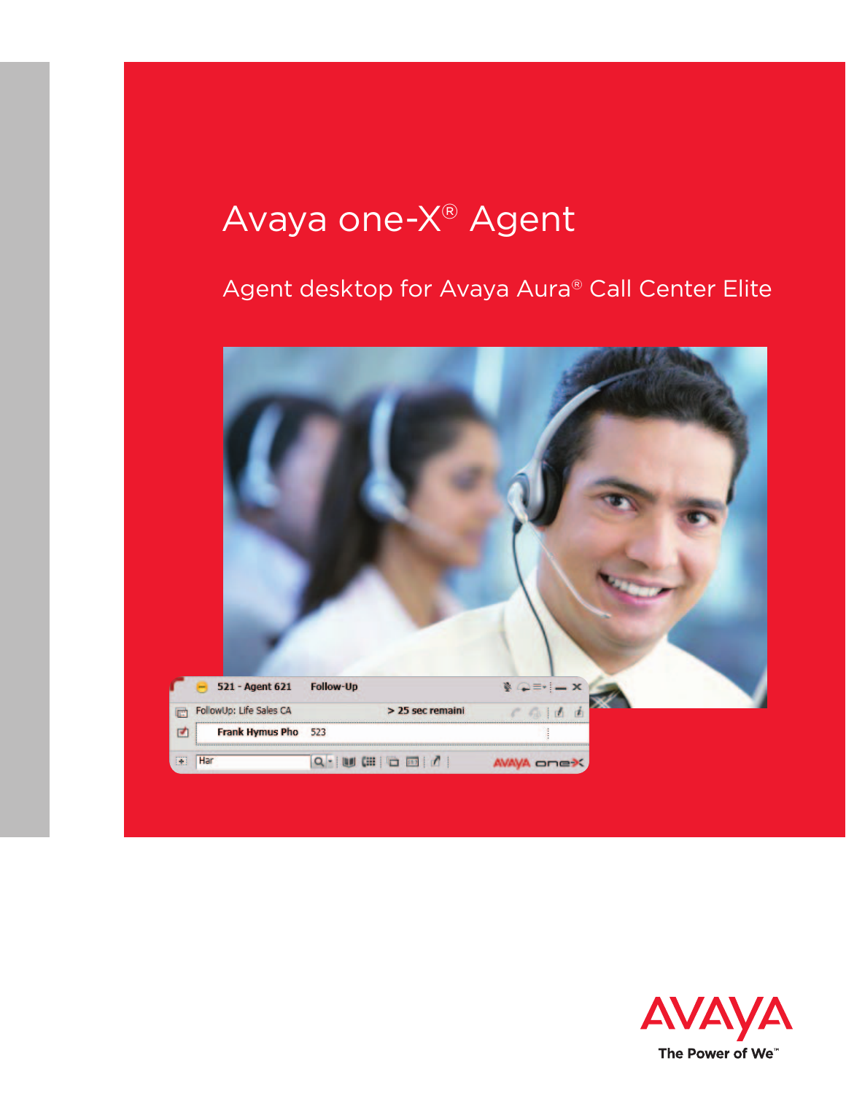# Avaya one-X® Agent

## Agent desktop for Avaya Aura® Call Center Elite



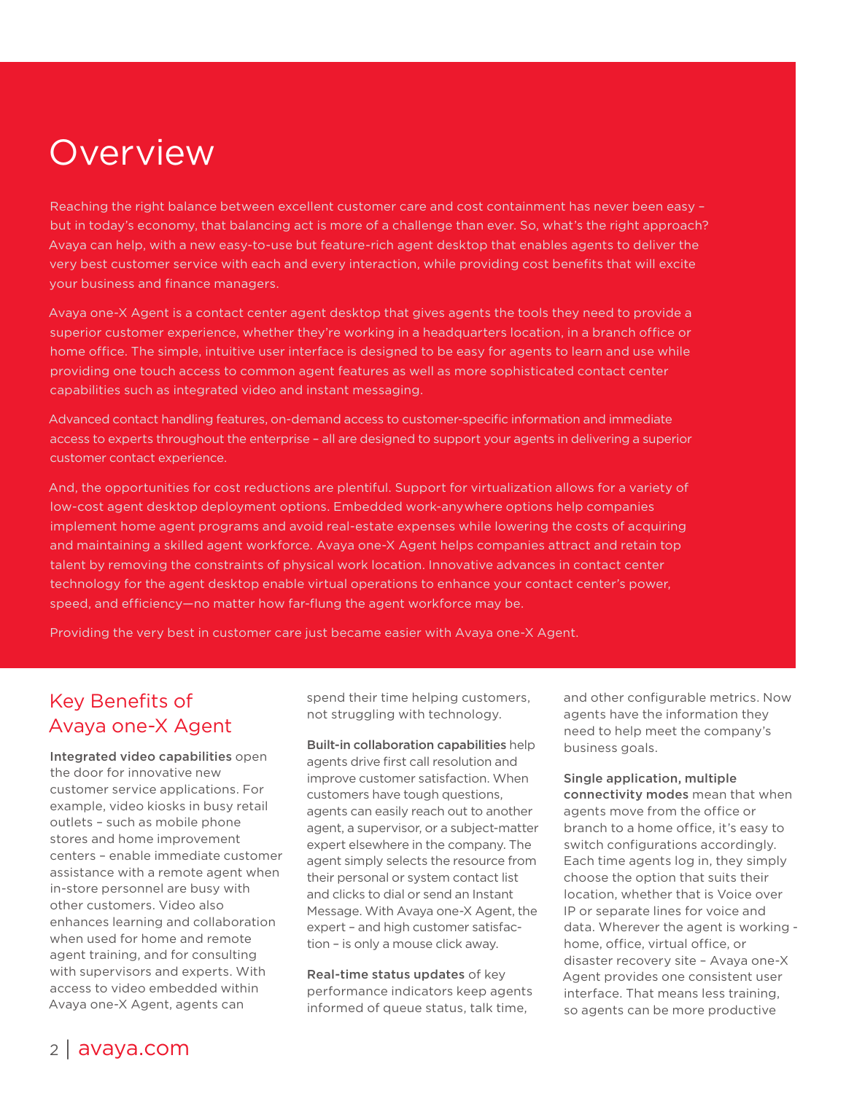## Overview

Reaching the right balance between excellent customer care and cost containment has never been easy – but in today's economy, that balancing act is more of a challenge than ever. So, what's the right approach? Avaya can help, with a new easy-to-use but feature-rich agent desktop that enables agents to deliver the very best customer service with each and every interaction, while providing cost benefits that will excite your business and finance managers.

Avaya one-X Agent is a contact center agent desktop that gives agents the tools they need to provide a superior customer experience, whether they're working in a headquarters location, in a branch office or home office. The simple, intuitive user interface is designed to be easy for agents to learn and use while providing one touch access to common agent features as well as more sophisticated contact center capabilities such as integrated video and instant messaging.

Advanced contact handling features, on-demand access to customer-specific information and immediate access to experts throughout the enterprise – all are designed to support your agents in delivering a superior customer contact experience.

And, the opportunities for cost reductions are plentiful. Support for virtualization allows for a variety of low-cost agent desktop deployment options. Embedded work-anywhere options help companies implement home agent programs and avoid real-estate expenses while lowering the costs of acquiring and maintaining a skilled agent workforce. Avaya one-X Agent helps companies attract and retain top talent by removing the constraints of physical work location. Innovative advances in contact center technology for the agent desktop enable virtual operations to enhance your contact center's power, speed, and efficiency—no matter how far-flung the agent workforce may be.

Providing the very best in customer care just became easier with Avaya one-X Agent.

## Key Benefits of Avaya one-X Agent

Integrated video capabilities open the door for innovative new customer service applications. For example, video kiosks in busy retail outlets – such as mobile phone stores and home improvement centers – enable immediate customer assistance with a remote agent when in-store personnel are busy with other customers. Video also enhances learning and collaboration when used for home and remote agent training, and for consulting with supervisors and experts. With access to video embedded within Avaya one-X Agent, agents can

spend their time helping customers, not struggling with technology.

Built-in collaboration capabilities help agents drive first call resolution and improve customer satisfaction. When customers have tough questions, agents can easily reach out to another agent, a supervisor, or a subject-matter expert elsewhere in the company. The agent simply selects the resource from their personal or system contact list and clicks to dial or send an Instant Message. With Avaya one-X Agent, the expert – and high customer satisfaction – is only a mouse click away.

Real-time status updates of key performance indicators keep agents informed of queue status, talk time,

and other configurable metrics. Now agents have the information they need to help meet the company's business goals.

### Single application, multiple connectivity modes mean that when

agents move from the office or branch to a home office, it's easy to switch configurations accordingly. Each time agents log in, they simply choose the option that suits their location, whether that is Voice over IP or separate lines for voice and data. Wherever the agent is working home, office, virtual office, or disaster recovery site – Avaya one-X Agent provides one consistent user interface. That means less training, so agents can be more productive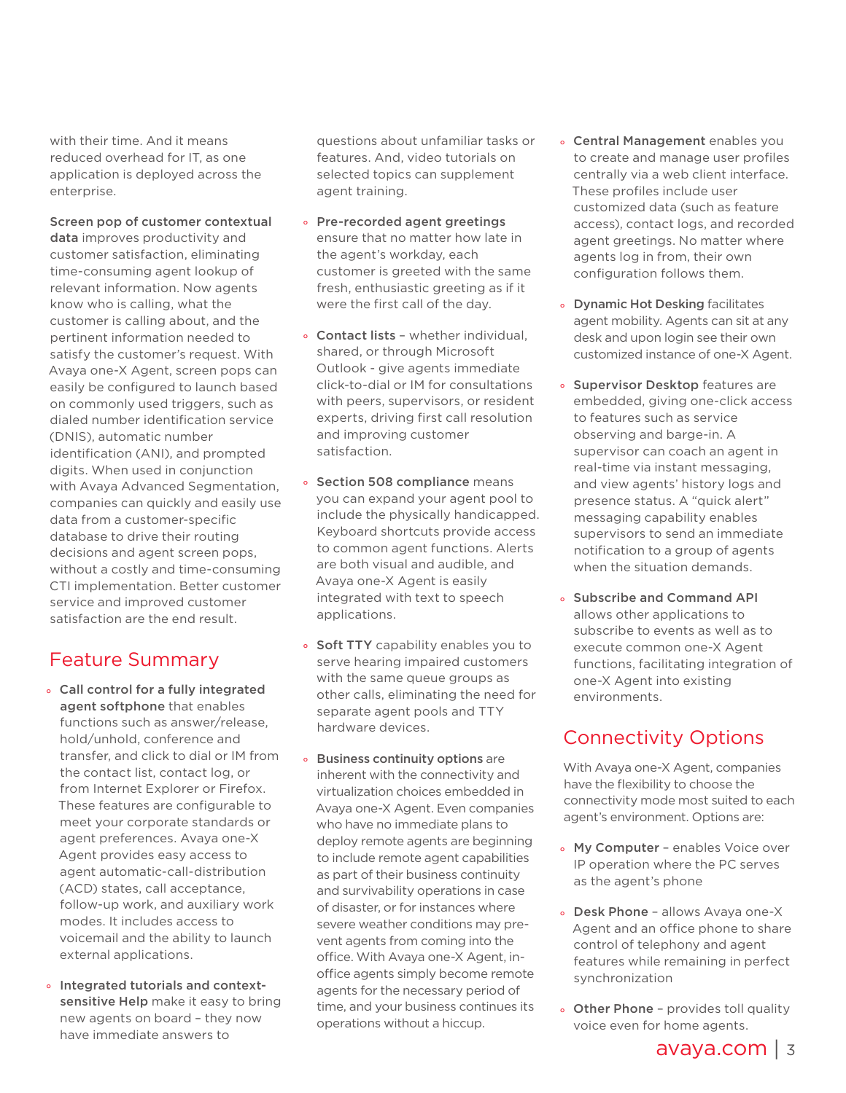with their time. And it means reduced overhead for IT, as one application is deployed across the enterprise.

Screen pop of customer contextual data improves productivity and customer satisfaction, eliminating time-consuming agent lookup of relevant information. Now agents know who is calling, what the customer is calling about, and the pertinent information needed to satisfy the customer's request. With Avaya one-X Agent, screen pops can easily be configured to launch based on commonly used triggers, such as dialed number identification service (DNIS), automatic number identification (ANI), and prompted digits. When used in conjunction with Avaya Advanced Segmentation, companies can quickly and easily use data from a customer-specific database to drive their routing decisions and agent screen pops, without a costly and time-consuming CTI implementation. Better customer service and improved customer satisfaction are the end result.

## Feature Summary

- ° Call control for a fully integrated agent softphone that enables functions such as answer/release, hold/unhold, conference and transfer, and click to dial or IM from the contact list, contact log, or from Internet Explorer or Firefox. These features are configurable to meet your corporate standards or agent preferences. Avaya one-X Agent provides easy access to agent automatic-call-distribution (ACD) states, call acceptance, follow-up work, and auxiliary work modes. It includes access to voicemail and the ability to launch external applications.
- ° Integrated tutorials and contextsensitive Help make it easy to bring new agents on board – they now have immediate answers to

questions about unfamiliar tasks or features. And, video tutorials on selected topics can supplement agent training.

- ° Pre-recorded agent greetings ensure that no matter how late in the agent's workday, each customer is greeted with the same fresh, enthusiastic greeting as if it were the first call of the day.
- Contact lists whether individual. shared, or through Microsoft Outlook - give agents immediate click-to-dial or IM for consultations with peers, supervisors, or resident experts, driving first call resolution and improving customer satisfaction.
- ° Section 508 compliance means you can expand your agent pool to include the physically handicapped. Keyboard shortcuts provide access to common agent functions. Alerts are both visual and audible, and Avaya one-X Agent is easily integrated with text to speech applications.
- Soft TTY capability enables you to serve hearing impaired customers with the same queue groups as other calls, eliminating the need for separate agent pools and TTY hardware devices.
- ° Business continuity options are inherent with the connectivity and virtualization choices embedded in Avaya one-X Agent. Even companies who have no immediate plans to deploy remote agents are beginning to include remote agent capabilities as part of their business continuity and survivability operations in case of disaster, or for instances where severe weather conditions may prevent agents from coming into the office. With Avaya one-X Agent, inoffice agents simply become remote agents for the necessary period of time, and your business continues its operations without a hiccup.
- ° Central Management enables you to create and manage user profiles centrally via a web client interface. These profiles include user customized data (such as feature access), contact logs, and recorded agent greetings. No matter where agents log in from, their own configuration follows them.
- ° Dynamic Hot Desking facilitates agent mobility. Agents can sit at any desk and upon login see their own customized instance of one-X Agent.
- ° Supervisor Desktop features are embedded, giving one-click access to features such as service observing and barge-in. A supervisor can coach an agent in real-time via instant messaging, and view agents' history logs and presence status. A "quick alert" messaging capability enables supervisors to send an immediate notification to a group of agents when the situation demands.
- ° Subscribe and Command API allows other applications to subscribe to events as well as to execute common one-X Agent functions, facilitating integration of one-X Agent into existing environments.

## Connectivity Options

With Avaya one-X Agent, companies have the flexibility to choose the connectivity mode most suited to each agent's environment. Options are:

- My Computer enables Voice over IP operation where the PC serves as the agent's phone
- ° Desk Phone allows Avaya one-X Agent and an office phone to share control of telephony and agent features while remaining in perfect synchronization
- Other Phone provides toll quality voice even for home agents.